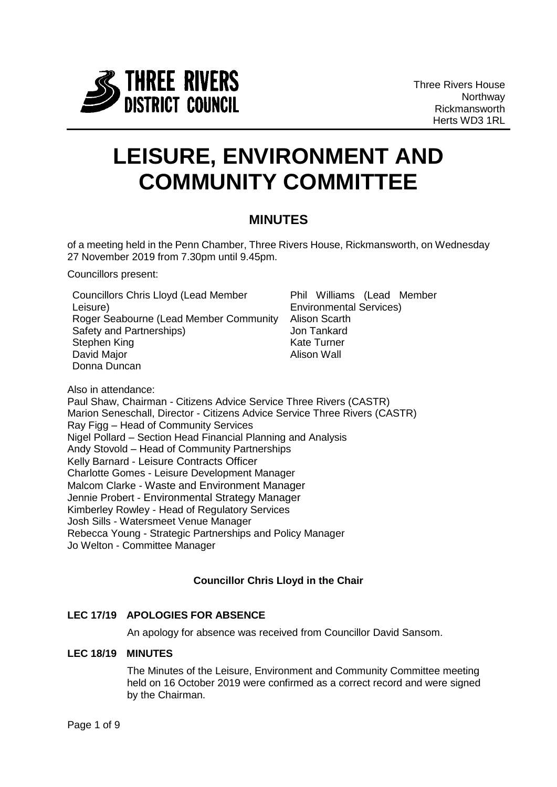

# **LEISURE, ENVIRONMENT AND COMMUNITY COMMITTEE**

# **MINUTES**

of a meeting held in the Penn Chamber, Three Rivers House, Rickmansworth, on Wednesday 27 November 2019 from 7.30pm until 9.45pm.

Councillors present:

Councillors Chris Lloyd (Lead Member Leisure) Roger Seabourne (Lead Member Community Alison Scarth Safety and Partnerships) Stephen King David Major Donna Duncan

Phil Williams (Lead Member Environmental Services) Jon Tankard Kate Turner Alison Wall

Also in attendance: Paul Shaw, Chairman - Citizens Advice Service Three Rivers (CASTR) Marion Seneschall, Director - Citizens Advice Service Three Rivers (CASTR) Ray Figg – Head of Community Services Nigel Pollard – Section Head Financial Planning and Analysis Andy Stovold – Head of Community Partnerships Kelly Barnard - Leisure Contracts Officer Charlotte Gomes - Leisure Development Manager Malcom Clarke - Waste and Environment Manager Jennie Probert - Environmental Strategy Manager Kimberley Rowley - Head of Regulatory Services Josh Sills - Watersmeet Venue Manager Rebecca Young - Strategic Partnerships and Policy Manager Jo Welton - Committee Manager

# **Councillor Chris Lloyd in the Chair**

# **LEC 17/19 APOLOGIES FOR ABSENCE**

An apology for absence was received from Councillor David Sansom.

# **LEC 18/19 MINUTES**

The Minutes of the Leisure, Environment and Community Committee meeting held on 16 October 2019 were confirmed as a correct record and were signed by the Chairman.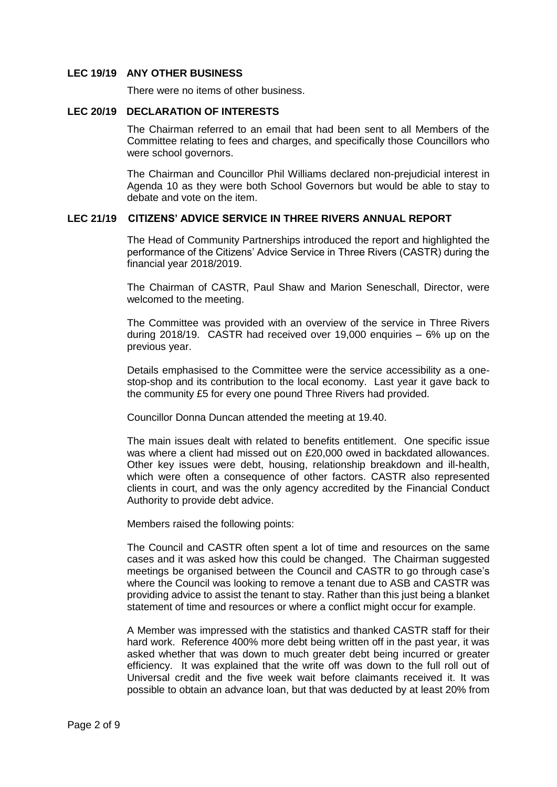#### **LEC 19/19 ANY OTHER BUSINESS**

There were no items of other business.

#### **LEC 20/19 DECLARATION OF INTERESTS**

The Chairman referred to an email that had been sent to all Members of the Committee relating to fees and charges, and specifically those Councillors who were school governors.

The Chairman and Councillor Phil Williams declared non-prejudicial interest in Agenda 10 as they were both School Governors but would be able to stay to debate and vote on the item.

#### **LEC 21/19 CITIZENS' ADVICE SERVICE IN THREE RIVERS ANNUAL REPORT**

The Head of Community Partnerships introduced the report and highlighted the performance of the Citizens' Advice Service in Three Rivers (CASTR) during the financial year 2018/2019.

The Chairman of CASTR, Paul Shaw and Marion Seneschall, Director, were welcomed to the meeting.

The Committee was provided with an overview of the service in Three Rivers during 2018/19. CASTR had received over 19,000 enquiries – 6% up on the previous year.

Details emphasised to the Committee were the service accessibility as a onestop-shop and its contribution to the local economy. Last year it gave back to the community £5 for every one pound Three Rivers had provided.

Councillor Donna Duncan attended the meeting at 19.40.

The main issues dealt with related to benefits entitlement. One specific issue was where a client had missed out on £20,000 owed in backdated allowances. Other key issues were debt, housing, relationship breakdown and ill-health, which were often a consequence of other factors. CASTR also represented clients in court, and was the only agency accredited by the Financial Conduct Authority to provide debt advice.

Members raised the following points:

The Council and CASTR often spent a lot of time and resources on the same cases and it was asked how this could be changed. The Chairman suggested meetings be organised between the Council and CASTR to go through case's where the Council was looking to remove a tenant due to ASB and CASTR was providing advice to assist the tenant to stay. Rather than this just being a blanket statement of time and resources or where a conflict might occur for example.

A Member was impressed with the statistics and thanked CASTR staff for their hard work. Reference 400% more debt being written off in the past year, it was asked whether that was down to much greater debt being incurred or greater efficiency. It was explained that the write off was down to the full roll out of Universal credit and the five week wait before claimants received it. It was possible to obtain an advance loan, but that was deducted by at least 20% from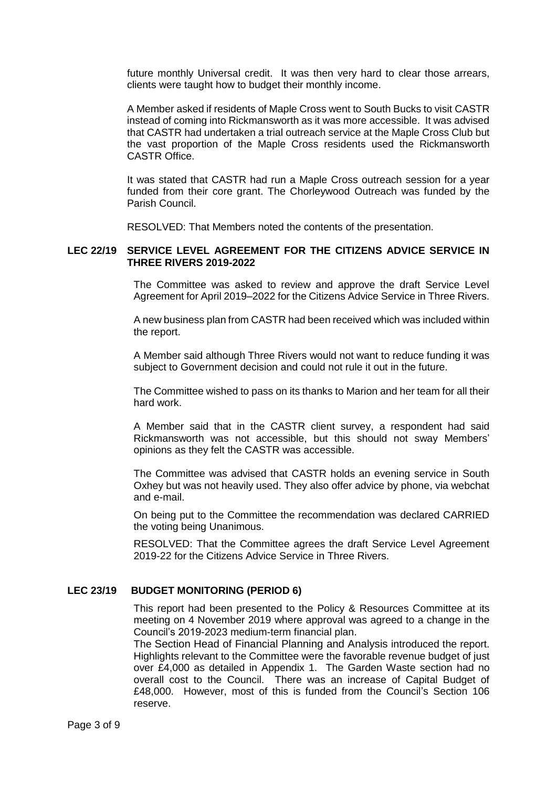future monthly Universal credit. It was then very hard to clear those arrears, clients were taught how to budget their monthly income.

A Member asked if residents of Maple Cross went to South Bucks to visit CASTR instead of coming into Rickmansworth as it was more accessible. It was advised that CASTR had undertaken a trial outreach service at the Maple Cross Club but the vast proportion of the Maple Cross residents used the Rickmansworth CASTR Office.

It was stated that CASTR had run a Maple Cross outreach session for a year funded from their core grant. The Chorleywood Outreach was funded by the Parish Council.

RESOLVED: That Members noted the contents of the presentation.

#### **LEC 22/19 SERVICE LEVEL AGREEMENT FOR THE CITIZENS ADVICE SERVICE IN THREE RIVERS 2019-2022**

The Committee was asked to review and approve the draft Service Level Agreement for April 2019–2022 for the Citizens Advice Service in Three Rivers.

A new business plan from CASTR had been received which was included within the report.

A Member said although Three Rivers would not want to reduce funding it was subject to Government decision and could not rule it out in the future.

The Committee wished to pass on its thanks to Marion and her team for all their hard work.

A Member said that in the CASTR client survey, a respondent had said Rickmansworth was not accessible, but this should not sway Members' opinions as they felt the CASTR was accessible.

The Committee was advised that CASTR holds an evening service in South Oxhey but was not heavily used. They also offer advice by phone, via webchat and e-mail.

On being put to the Committee the recommendation was declared CARRIED the voting being Unanimous.

RESOLVED: That the Committee agrees the draft Service Level Agreement 2019-22 for the Citizens Advice Service in Three Rivers.

#### **LEC 23/19 BUDGET MONITORING (PERIOD 6)**

This report had been presented to the Policy & Resources Committee at its meeting on 4 November 2019 where approval was agreed to a change in the Council's 2019-2023 medium-term financial plan.

The Section Head of Financial Planning and Analysis introduced the report. Highlights relevant to the Committee were the favorable revenue budget of just over £4,000 as detailed in Appendix 1. The Garden Waste section had no overall cost to the Council. There was an increase of Capital Budget of £48,000. However, most of this is funded from the Council's Section 106 reserve.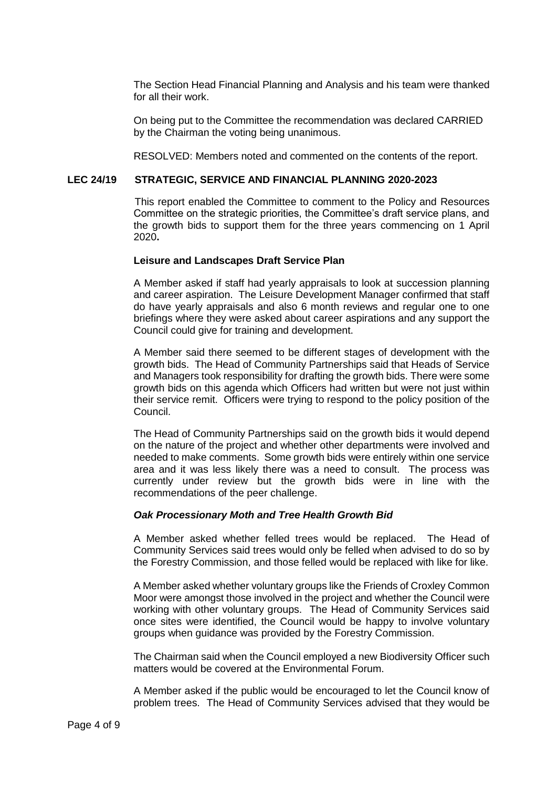The Section Head Financial Planning and Analysis and his team were thanked for all their work.

On being put to the Committee the recommendation was declared CARRIED by the Chairman the voting being unanimous.

RESOLVED: Members noted and commented on the contents of the report.

# **LEC 24/19 STRATEGIC, SERVICE AND FINANCIAL PLANNING 2020-2023**

This report enabled the Committee to comment to the Policy and Resources Committee on the strategic priorities, the Committee's draft service plans, and the growth bids to support them for the three years commencing on 1 April 2020**.**

# **Leisure and Landscapes Draft Service Plan**

A Member asked if staff had yearly appraisals to look at succession planning and career aspiration. The Leisure Development Manager confirmed that staff do have yearly appraisals and also 6 month reviews and regular one to one briefings where they were asked about career aspirations and any support the Council could give for training and development.

A Member said there seemed to be different stages of development with the growth bids. The Head of Community Partnerships said that Heads of Service and Managers took responsibility for drafting the growth bids. There were some growth bids on this agenda which Officers had written but were not just within their service remit. Officers were trying to respond to the policy position of the Council.

The Head of Community Partnerships said on the growth bids it would depend on the nature of the project and whether other departments were involved and needed to make comments. Some growth bids were entirely within one service area and it was less likely there was a need to consult. The process was currently under review but the growth bids were in line with the recommendations of the peer challenge.

#### *Oak Processionary Moth and Tree Health Growth Bid*

A Member asked whether felled trees would be replaced. The Head of Community Services said trees would only be felled when advised to do so by the Forestry Commission, and those felled would be replaced with like for like.

A Member asked whether voluntary groups like the Friends of Croxley Common Moor were amongst those involved in the project and whether the Council were working with other voluntary groups. The Head of Community Services said once sites were identified, the Council would be happy to involve voluntary groups when guidance was provided by the Forestry Commission.

The Chairman said when the Council employed a new Biodiversity Officer such matters would be covered at the Environmental Forum.

A Member asked if the public would be encouraged to let the Council know of problem trees. The Head of Community Services advised that they would be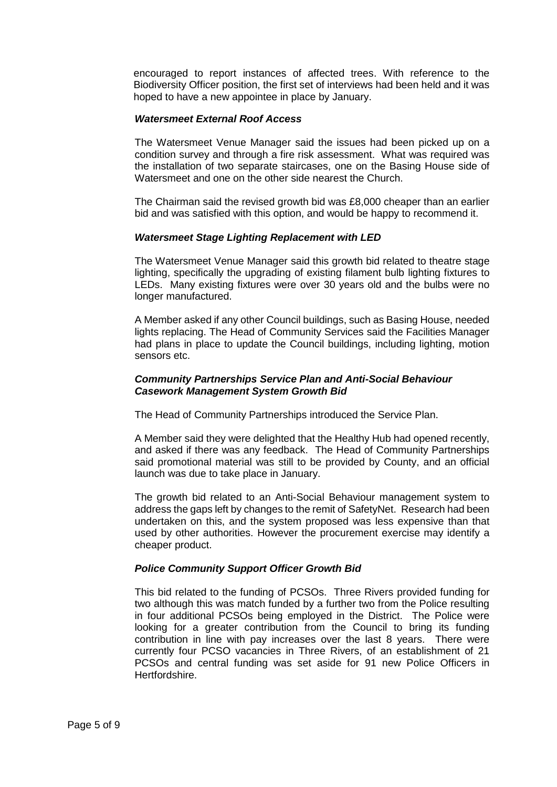encouraged to report instances of affected trees. With reference to the Biodiversity Officer position, the first set of interviews had been held and it was hoped to have a new appointee in place by January.

#### *Watersmeet External Roof Access*

The Watersmeet Venue Manager said the issues had been picked up on a condition survey and through a fire risk assessment. What was required was the installation of two separate staircases, one on the Basing House side of Watersmeet and one on the other side nearest the Church.

The Chairman said the revised growth bid was £8,000 cheaper than an earlier bid and was satisfied with this option, and would be happy to recommend it.

# *Watersmeet Stage Lighting Replacement with LED*

The Watersmeet Venue Manager said this growth bid related to theatre stage lighting, specifically the upgrading of existing filament bulb lighting fixtures to LEDs. Many existing fixtures were over 30 years old and the bulbs were no longer manufactured.

A Member asked if any other Council buildings, such as Basing House, needed lights replacing. The Head of Community Services said the Facilities Manager had plans in place to update the Council buildings, including lighting, motion sensors etc.

# *Community Partnerships Service Plan and Anti-Social Behaviour Casework Management System Growth Bid*

The Head of Community Partnerships introduced the Service Plan.

A Member said they were delighted that the Healthy Hub had opened recently, and asked if there was any feedback. The Head of Community Partnerships said promotional material was still to be provided by County, and an official launch was due to take place in January.

The growth bid related to an Anti-Social Behaviour management system to address the gaps left by changes to the remit of SafetyNet. Research had been undertaken on this, and the system proposed was less expensive than that used by other authorities. However the procurement exercise may identify a cheaper product.

# *Police Community Support Officer Growth Bid*

This bid related to the funding of PCSOs. Three Rivers provided funding for two although this was match funded by a further two from the Police resulting in four additional PCSOs being employed in the District. The Police were looking for a greater contribution from the Council to bring its funding contribution in line with pay increases over the last 8 years. There were currently four PCSO vacancies in Three Rivers, of an establishment of 21 PCSOs and central funding was set aside for 91 new Police Officers in Hertfordshire.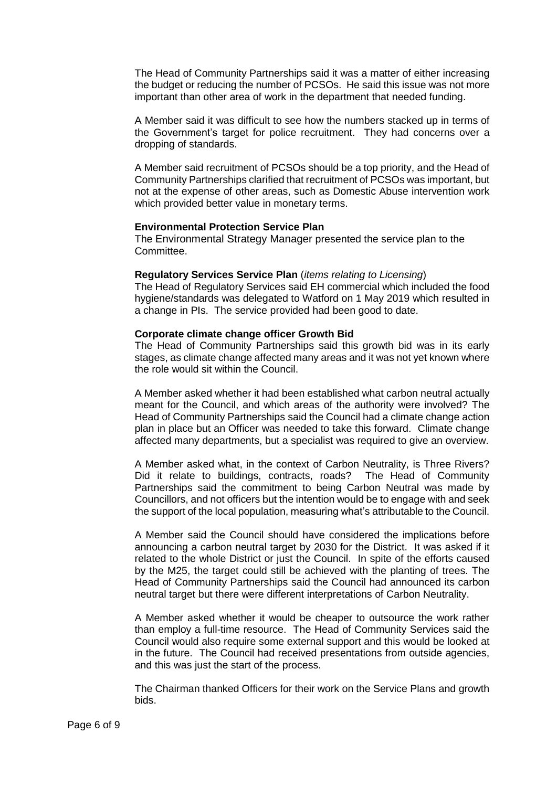The Head of Community Partnerships said it was a matter of either increasing the budget or reducing the number of PCSOs. He said this issue was not more important than other area of work in the department that needed funding.

A Member said it was difficult to see how the numbers stacked up in terms of the Government's target for police recruitment. They had concerns over a dropping of standards.

A Member said recruitment of PCSOs should be a top priority, and the Head of Community Partnerships clarified that recruitment of PCSOs was important, but not at the expense of other areas, such as Domestic Abuse intervention work which provided better value in monetary terms.

#### **Environmental Protection Service Plan**

The Environmental Strategy Manager presented the service plan to the Committee.

#### **Regulatory Services Service Plan** (*items relating to Licensing*)

The Head of Regulatory Services said EH commercial which included the food hygiene/standards was delegated to Watford on 1 May 2019 which resulted in a change in PIs. The service provided had been good to date.

#### **Corporate climate change officer Growth Bid**

The Head of Community Partnerships said this growth bid was in its early stages, as climate change affected many areas and it was not yet known where the role would sit within the Council.

A Member asked whether it had been established what carbon neutral actually meant for the Council, and which areas of the authority were involved? The Head of Community Partnerships said the Council had a climate change action plan in place but an Officer was needed to take this forward. Climate change affected many departments, but a specialist was required to give an overview.

A Member asked what, in the context of Carbon Neutrality, is Three Rivers? Did it relate to buildings, contracts, roads? The Head of Community Partnerships said the commitment to being Carbon Neutral was made by Councillors, and not officers but the intention would be to engage with and seek the support of the local population, measuring what's attributable to the Council.

A Member said the Council should have considered the implications before announcing a carbon neutral target by 2030 for the District. It was asked if it related to the whole District or just the Council. In spite of the efforts caused by the M25, the target could still be achieved with the planting of trees. The Head of Community Partnerships said the Council had announced its carbon neutral target but there were different interpretations of Carbon Neutrality.

A Member asked whether it would be cheaper to outsource the work rather than employ a full-time resource. The Head of Community Services said the Council would also require some external support and this would be looked at in the future. The Council had received presentations from outside agencies, and this was just the start of the process.

The Chairman thanked Officers for their work on the Service Plans and growth bids.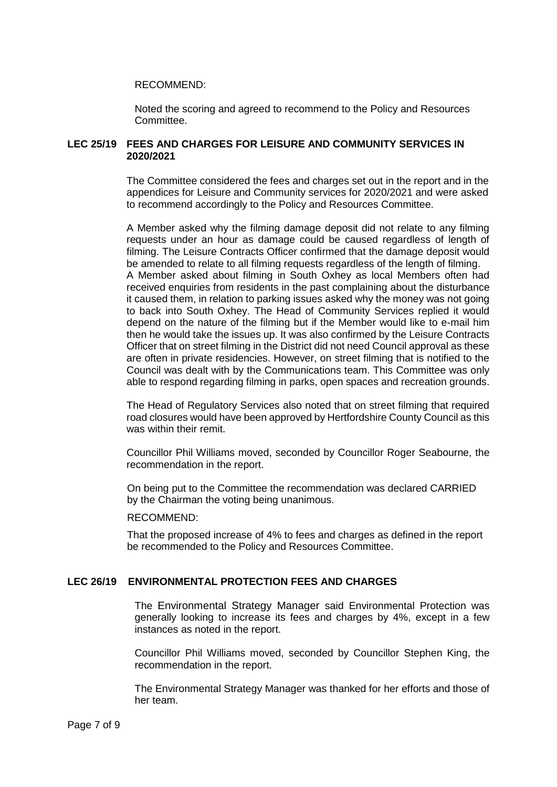#### RECOMMEND:

Noted the scoring and agreed to recommend to the Policy and Resources Committee.

#### **LEC 25/19 FEES AND CHARGES FOR LEISURE AND COMMUNITY SERVICES IN 2020/2021**

The Committee considered the fees and charges set out in the report and in the appendices for Leisure and Community services for 2020/2021 and were asked to recommend accordingly to the Policy and Resources Committee.

A Member asked why the filming damage deposit did not relate to any filming requests under an hour as damage could be caused regardless of length of filming. The Leisure Contracts Officer confirmed that the damage deposit would be amended to relate to all filming requests regardless of the length of filming. A Member asked about filming in South Oxhey as local Members often had received enquiries from residents in the past complaining about the disturbance it caused them, in relation to parking issues asked why the money was not going to back into South Oxhey. The Head of Community Services replied it would depend on the nature of the filming but if the Member would like to e-mail him then he would take the issues up. It was also confirmed by the Leisure Contracts Officer that on street filming in the District did not need Council approval as these are often in private residencies. However, on street filming that is notified to the Council was dealt with by the Communications team. This Committee was only able to respond regarding filming in parks, open spaces and recreation grounds.

The Head of Regulatory Services also noted that on street filming that required road closures would have been approved by Hertfordshire County Council as this was within their remit.

Councillor Phil Williams moved, seconded by Councillor Roger Seabourne, the recommendation in the report.

On being put to the Committee the recommendation was declared CARRIED by the Chairman the voting being unanimous.

#### RECOMMEND:

That the proposed increase of 4% to fees and charges as defined in the report be recommended to the Policy and Resources Committee.

# **LEC 26/19 ENVIRONMENTAL PROTECTION FEES AND CHARGES**

The Environmental Strategy Manager said Environmental Protection was generally looking to increase its fees and charges by 4%, except in a few instances as noted in the report.

Councillor Phil Williams moved, seconded by Councillor Stephen King, the recommendation in the report.

The Environmental Strategy Manager was thanked for her efforts and those of her team.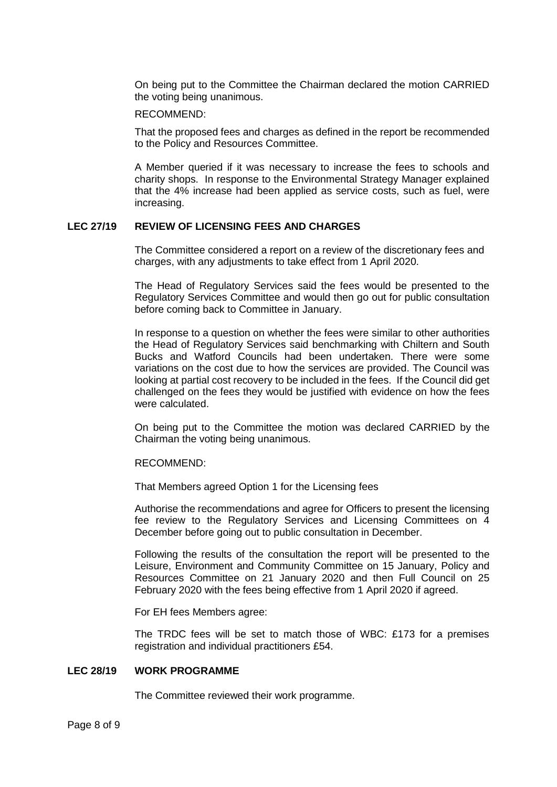On being put to the Committee the Chairman declared the motion CARRIED the voting being unanimous.

#### RECOMMEND:

That the proposed fees and charges as defined in the report be recommended to the Policy and Resources Committee.

A Member queried if it was necessary to increase the fees to schools and charity shops. In response to the Environmental Strategy Manager explained that the 4% increase had been applied as service costs, such as fuel, were increasing.

#### **LEC 27/19 REVIEW OF LICENSING FEES AND CHARGES**

The Committee considered a report on a review of the discretionary fees and charges, with any adjustments to take effect from 1 April 2020.

The Head of Regulatory Services said the fees would be presented to the Regulatory Services Committee and would then go out for public consultation before coming back to Committee in January.

In response to a question on whether the fees were similar to other authorities the Head of Regulatory Services said benchmarking with Chiltern and South Bucks and Watford Councils had been undertaken. There were some variations on the cost due to how the services are provided. The Council was looking at partial cost recovery to be included in the fees. If the Council did get challenged on the fees they would be justified with evidence on how the fees were calculated.

On being put to the Committee the motion was declared CARRIED by the Chairman the voting being unanimous.

#### RECOMMEND:

That Members agreed Option 1 for the Licensing fees

Authorise the recommendations and agree for Officers to present the licensing fee review to the Regulatory Services and Licensing Committees on 4 December before going out to public consultation in December.

Following the results of the consultation the report will be presented to the Leisure, Environment and Community Committee on 15 January, Policy and Resources Committee on 21 January 2020 and then Full Council on 25 February 2020 with the fees being effective from 1 April 2020 if agreed.

For EH fees Members agree:

The TRDC fees will be set to match those of WBC: £173 for a premises registration and individual practitioners £54.

# **LEC 28/19 WORK PROGRAMME**

The Committee reviewed their work programme.